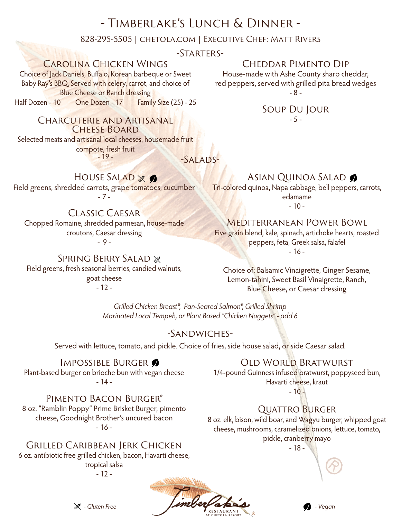# - Timberlake's Lunch & Dinner -

#### 828-295-5505 | chetola.com | Executive Chef: Matt Rivers

-Starters-

## Carolina Chicken Wings

Choice of Jack Daniels, Buffalo, Korean barbeque or Sweet Baby Ray's BBQ. Served with celery, carrot, and choice of Blue Cheese or Ranch dressing Half Dozen - 10 One Dozen - 17 Family Size (25) - 25

> Charcuterie and Artisanal CHEESE BOARD

Selected meats and artisanal local cheeses, housemade fruit compote, fresh fruit  $-19-$ 

-Salads-

## HOUSE SALAD & O

Field greens, shredded carrots, grape tomatoes, cucumber - 7 -

### Classic Caesar

Chopped Romaine, shredded parmesan, house-made croutons, Caesar dressing

- 9 -

**SPRING BERRY SALAD &** Field greens, fresh seasonal berries, candied walnuts, goat cheese - 12 -

## Cheddar Pimento Dip

House-made with Ashe County sharp cheddar, red peppers, served with grilled pita bread wedges - 8 -

#### Soup Du Jour  $-5 -$

Asian Quinoa Salad

Tri-colored quinoa, Napa cabbage, bell peppers, carrots, edamame

- 10 -

### Mediterranean Power Bowl

Five grain blend, kale, spinach, artichoke hearts, roasted peppers, feta, Greek salsa, falafel - 16 -

Choice of: Balsamic Vinaigrette, Ginger Sesame, Lemon-tahini, Sweet Basil Vinaigrette, Ranch, Blue Cheese, or Caesar dressing

*Grilled Chicken Breast\*, Pan-Seared Salmon\*, Grilled Shrimp Marinated Local Tempeh, or Plant Based "Chicken Nuggets" - add 6*

### -Sandwiches-

Served with lettuce, tomato, and pickle. Choice of fries, side house salad, or side Caesar salad.

#### IMPOSSIBLE BURGER

Plant-based burger on brioche bun with vegan cheese - 14 -

Pimento Bacon Burger\*

8 oz. "Ramblin Poppy" Prime Brisket Burger, pimento cheese, Goodnight Brother's uncured bacon  $-16-$ 

## Grilled Caribbean Jerk Chicken

6 oz. antibiotic free grilled chicken, bacon, Havarti cheese, tropical salsa

- 12 -



Old World Bratwurst

1/4-pound Guinness infused bratwurst, poppyseed bun, Havarti cheese, kraut

 $-10-$ 

## Quattro Burger

8 oz. elk, bison, wild boar, and Wagyu burger, whipped goat cheese, mushrooms, caramelized onions, lettuce, tomato, pickle, cranberry mayo

- 18 -